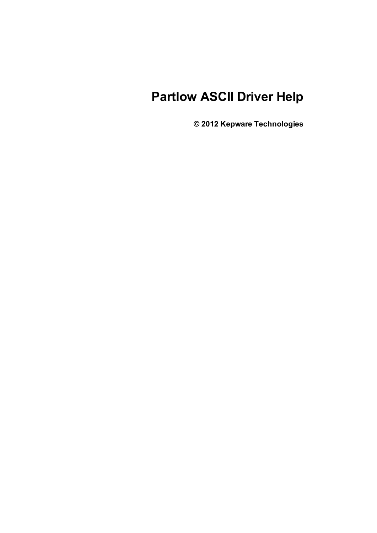# **Partlow ASCII Driver Help**

**© 2012 Kepware Technologies**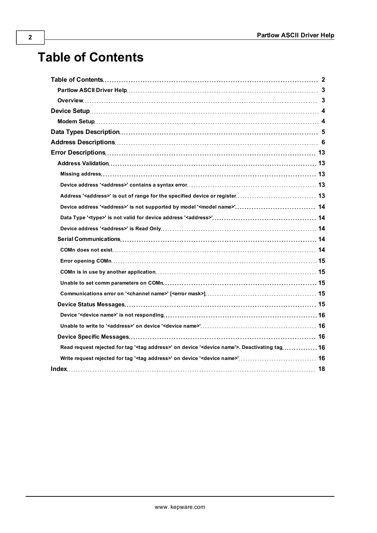# <span id="page-1-0"></span>**Table of Contents**

| Error Descriptions…………………………………………………………………………………… 13                                                              |  |
|--------------------------------------------------------------------------------------------------------------------|--|
|                                                                                                                    |  |
|                                                                                                                    |  |
|                                                                                                                    |  |
|                                                                                                                    |  |
|                                                                                                                    |  |
|                                                                                                                    |  |
|                                                                                                                    |  |
|                                                                                                                    |  |
|                                                                                                                    |  |
|                                                                                                                    |  |
|                                                                                                                    |  |
|                                                                                                                    |  |
|                                                                                                                    |  |
|                                                                                                                    |  |
|                                                                                                                    |  |
|                                                                                                                    |  |
|                                                                                                                    |  |
| Read request rejected for tag ' <tag address="">' on device '<device name'="">. Deactivating tag 16</device></tag> |  |
|                                                                                                                    |  |
|                                                                                                                    |  |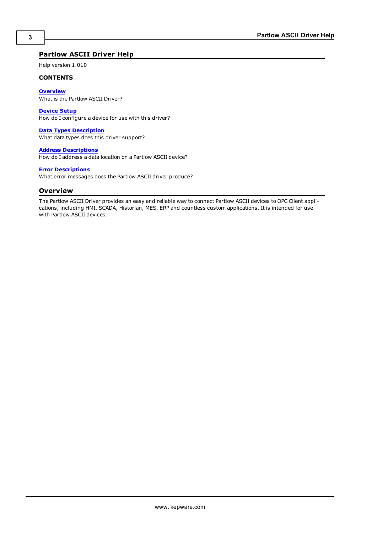# <span id="page-2-0"></span>**Partlow ASCII Driver Help**

Help version 1.010

#### **CONTENTS**

**[Overview](#page-2-1)**

What is the Partlow ASCII Driver?

#### **[Device](#page-3-0) [Setup](#page-3-0)**

How do I configure a device for use with this driver?

#### **[Data](#page-4-0) [Types](#page-4-0) [Description](#page-4-0)**

What data types does this driver support?

#### **[Address](#page-5-0) [Descriptions](#page-5-0)**

How do I address a data location on a Partlow ASCII device?

#### **[Error](#page-12-0) [Descriptions](#page-12-0)**

<span id="page-2-1"></span>What error messages does the Partlow ASCII driver produce?

# **Overview**

The Partlow ASCII Driver provides an easy and reliable way to connect Partlow ASCII devices to OPC Client applications, including HMI, SCADA, Historian, MES, ERP and countless custom applications. It is intended for use with Partlow ASCII devices.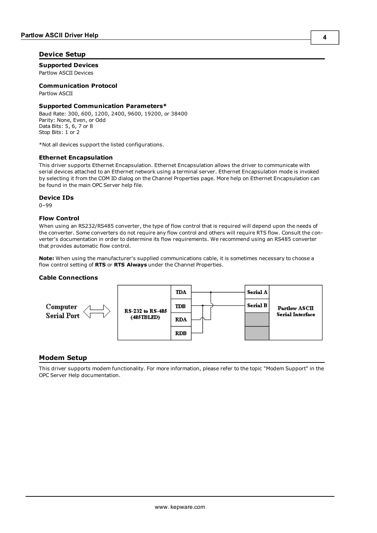# <span id="page-3-0"></span>**Device Setup**

# **Supported Devices**

Partlow ASCII Devices

# **Communication Protocol**

Partlow ASCII

### **Supported Communication Parameters\***

Baud Rate: 300, 600, 1200, 2400, 9600, 19200, or 38400 Parity: None, Even, or Odd Data Bits: 5, 6, 7 or 8 Stop Bits: 1 or 2

\*Not all devices support the listed configurations.

#### <span id="page-3-3"></span>**Ethernet Encapsulation**

This driver supports Ethernet Encapsulation. Ethernet Encapsulation allows the driver to communicate with serial devices attached to an Ethernet network using a terminal server. Ethernet Encapsulation mode is invoked by selecting it from the COM ID dialog on the Channel Properties page. More help on Ethernet Encapsulation can be found in the main OPC Server help file.

#### <span id="page-3-2"></span>**Device IDs**

0–99

## **Flow Control**

When using an RS232/RS485 converter, the type of flow control that is required will depend upon the needs of the converter. Some converters do not require any flow control and others will require RTS flow. Consult the converter's documentation in order to determine its flow requirements. We recommend using an RS485 converter that provides automatic flow control.

**Note:** When using the manufacturer's supplied communications cable, it is sometimes necessary to choose a flow control setting of **RTS** or **RTS Always** under the Channel Properties.

#### **Cable Connections**



## <span id="page-3-1"></span>**Modem Setup**

This driver supports modem functionality. For more information, please refer to the topic "Modem Support" in the OPC Server Help documentation.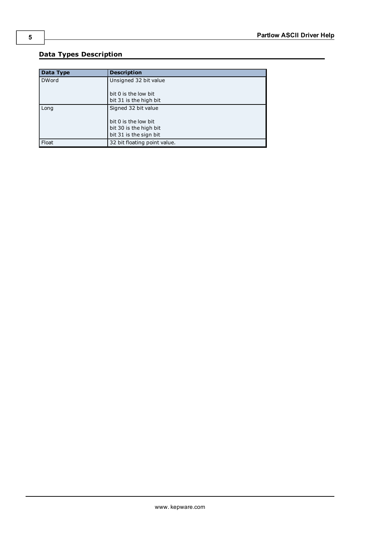# **5**

# <span id="page-4-0"></span>**Data Types Description**

<span id="page-4-3"></span><span id="page-4-2"></span><span id="page-4-1"></span>

| Data Type    | <b>Description</b>           |
|--------------|------------------------------|
| <b>DWord</b> | Unsigned 32 bit value        |
|              |                              |
|              | bit 0 is the low bit         |
|              | bit 31 is the high bit       |
| Long         | Signed 32 bit value          |
|              |                              |
|              | bit 0 is the low bit         |
|              | bit 30 is the high bit       |
|              | bit 31 is the sign bit       |
| Float        | 32 bit floating point value. |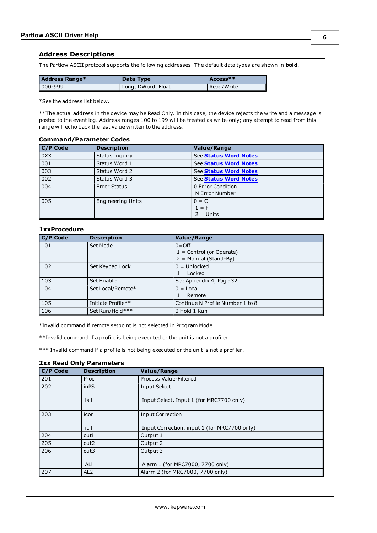# <span id="page-5-0"></span>**Address Descriptions**

The Partlow ASCII protocol supports the following addresses. The default data types are shown in **bold**.

| Address Range* | Data Type          | $A$ ccess $**$ |
|----------------|--------------------|----------------|
| 000-999        | Long, DWord, Float | Read/Write     |

\*See the address list below.

\*\*The actual address in the device may be Read Only. In this case, the device rejects the write and a message is posted to the event log. Address ranges 100 to 199 will be treated as write-only; any attempt to read from this range will echo back the last value written to the address.

#### **Command/Parameter Codes**

| C/P Code | <b>Description</b>       | <b>Value/Range</b>                  |
|----------|--------------------------|-------------------------------------|
| 0XX      | Status Inquiry           | See Status Word Notes               |
| 001      | Status Word 1            | See Status Word Notes               |
| 003      | Status Word 2            | See Status Word Notes               |
| 002      | Status Word 3            | See Status Word Notes               |
| 004      | <b>Error Status</b>      | 0 Error Condition<br>N Error Number |
| 005      | <b>Engineering Units</b> | $0 = C$<br>$1 = F$<br>$2 =$ Units   |

### **1xxProcedure**

| C/P Code | <b>Description</b> | <b>Value/Range</b>               |
|----------|--------------------|----------------------------------|
| 101      | Set Mode           | $0 =$ Off                        |
|          |                    | $1 =$ Control (or Operate)       |
|          |                    | $2 =$ Manual (Stand-By)          |
| 102      | Set Keypad Lock    | $0 =$ Unlocked                   |
|          |                    | $1 =$ Locked                     |
| 103      | Set Enable         | See Appendix 4, Page 32          |
| 104      | Set Local/Remote*  | $0 = Local$                      |
|          |                    | $1 =$ Remote                     |
| 105      | Initiate Profile** | Continue N Profile Number 1 to 8 |
| 106      | Set Run/Hold***    | 0 Hold 1 Run                     |

\*Invalid command if remote setpoint is not selected in Program Mode.

\*\*Invalid command if a profile is being executed or the unit is not a profiler.

\*\*\* Invalid command if a profile is not being executed or the unit is not a profiler.

# **2xx Read Only Parameters**

| C/P Code | <b>Description</b> | <b>Value/Range</b>                           |
|----------|--------------------|----------------------------------------------|
| 201      | Proc               | Process Value-Filtered                       |
| 202      | inPS               | <b>Input Select</b>                          |
|          | isil               | Input Select, Input 1 (for MRC7700 only)     |
| 203      | icor               | <b>Input Correction</b>                      |
|          |                    |                                              |
|          | icil               | Input Correction, input 1 (for MRC7700 only) |
| 204      | outi               | Output 1                                     |
| 205      | out <sub>2</sub>   | Output 2                                     |
| 206      | out3               | Output 3                                     |
|          |                    |                                              |
|          | ALI                | Alarm 1 (for MRC7000, 7700 only)             |
| 207      | AL <sub>2</sub>    | Alarm 2 (for MRC7000, 7700 only)             |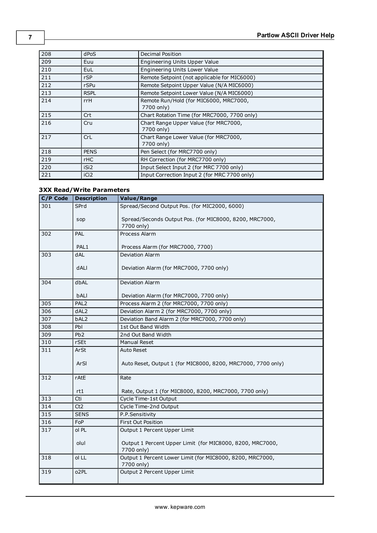| 208 | dPoS             | Decimal Position                                     |
|-----|------------------|------------------------------------------------------|
| 209 | Euu              | Engineering Units Upper Value                        |
| 210 | EuL              | Engineering Units Lower Value                        |
| 211 | rSP              | Remote Setpoint (not applicable for MIC6000)         |
| 212 | rSPu             | Remote Setpoint Upper Value (N/A MIC6000)            |
| 213 | <b>RSPL</b>      | Remote Setpoint Lower Value (N/A MIC6000)            |
| 214 | rrH              | Remote Run/Hold (for MIC6000, MRC7000,<br>7700 only) |
| 215 | Crt              | Chart Rotation Time (for MRC7000, 7700 only)         |
| 216 | Cru              | Chart Range Upper Value (for MRC7000,<br>7700 only)  |
| 217 | CrL              | Chart Range Lower Value (for MRC7000,<br>7700 only)  |
| 218 | <b>PENS</b>      | Pen Select (for MRC7700 only)                        |
| 219 | rHC              | RH Correction (for MRC7700 only)                     |
| 220 | iSi <sub>2</sub> | Input Select Input 2 (for MRC 7700 only)             |
| 221 | iCi <sub>2</sub> | Input Correction Input 2 (for MRC 7700 only)         |

# **3XX Read/Write Parameters**

| C/P Code | <b>Description</b> | Value/Range                                                             |
|----------|--------------------|-------------------------------------------------------------------------|
| 301      | SPrd               | Spread/Second Output Pos. (for MIC2000, 6000)                           |
|          | sop                | Spread/Seconds Output Pos. (for MIC8000, 8200, MRC7000,<br>7700 only)   |
| 302      | <b>PAL</b>         | Process Alarm                                                           |
|          | PAL <sub>1</sub>   | Process Alarm (for MRC7000, 7700)                                       |
| 303      | <b>dAL</b>         | Deviation Alarm                                                         |
|          | dALI               | Deviation Alarm (for MRC7000, 7700 only)                                |
| 304      | dbAL               | <b>Deviation Alarm</b>                                                  |
|          | bALI               | Deviation Alarm (for MRC7000, 7700 only)                                |
| 305      | PAL <sub>2</sub>   | Process Alarm 2 (for MRC7000, 7700 only)                                |
| 306      | dAL <sub>2</sub>   | Deviation Alarm 2 (for MRC7000, 7700 only)                              |
| 307      | bAL <sub>2</sub>   | Deviation Band Alarm 2 (for MRC7000, 7700 only)                         |
| 308      | <b>Pbl</b>         | 1st Out Band Width                                                      |
| 309      | Pb <sub>2</sub>    | 2nd Out Band Width                                                      |
| 310      | rSEt               | Manual Reset                                                            |
| 311      | ArSt               | <b>Auto Reset</b>                                                       |
|          | ArSI               | Auto Reset, Output 1 (for MIC8000, 8200, MRC7000, 7700 only)            |
| 312      | rAtE               | Rate                                                                    |
|          | rt1                | Rate, Output 1 (for MIC8000, 8200, MRC7000, 7700 only)                  |
| 313      | Cti                | Cycle Time-1st Output                                                   |
| 314      | Ct2                | Cycle Time-2nd Output                                                   |
| 315      | <b>SENS</b>        | P.P.Sensitivity                                                         |
| 316      | FoP                | First Out Position                                                      |
| 317      | ol PL              | Output 1 Percent Upper Limit                                            |
|          | olul               | Output 1 Percent Upper Limit (for MIC8000, 8200, MRC7000,<br>7700 only) |
| 318      | ol LL              | Output 1 Percent Lower Limit (for MIC8000, 8200, MRC7000,<br>7700 only) |
| 319      | o <sub>2</sub> PL  | Output 2 Percent Upper Limit                                            |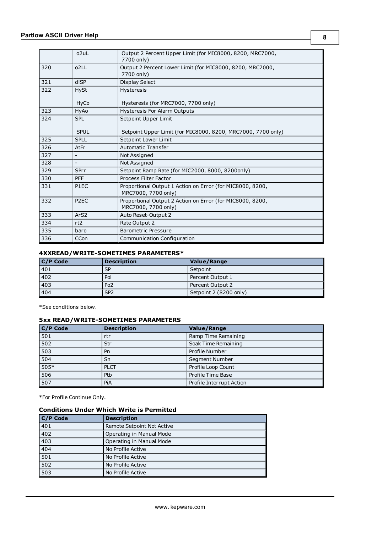|     | o <sub>2u</sub> L | Output 2 Percent Upper Limit (for MIC8000, 8200, MRC7000,<br>7700 only)          |
|-----|-------------------|----------------------------------------------------------------------------------|
| 320 | o <sub>2</sub> LL | Output 2 Percent Lower Limit (for MIC8000, 8200, MRC7000,<br>7700 only)          |
| 321 | diSP              | Display Select                                                                   |
| 322 | <b>HySt</b>       | <b>Hysteresis</b>                                                                |
|     | <b>HyCo</b>       | Hysteresis (for MRC7000, 7700 only)                                              |
| 323 | HyAo              | <b>Hysteresis For Alarm Outputs</b>                                              |
| 324 | <b>SPL</b>        | Setpoint Upper Limit                                                             |
|     | <b>SPUL</b>       | Setpoint Upper Limit (for MIC8000, 8200, MRC7000, 7700 only)                     |
| 325 | <b>SPLL</b>       | Setpoint Lower Limit                                                             |
| 326 | AtFr              | <b>Automatic Transfer</b>                                                        |
| 327 |                   | Not Assigned                                                                     |
| 328 | $\blacksquare$    | Not Assigned                                                                     |
| 329 | <b>SPrr</b>       | Setpoint Ramp Rate (for MIC2000, 8000, 8200only)                                 |
| 330 | <b>PFF</b>        | Process Filter Factor                                                            |
| 331 | P <sub>1</sub> EC | Proportional Output 1 Action on Error (for MIC8000, 8200,<br>MRC7000, 7700 only) |
| 332 | P <sub>2</sub> EC | Proportional Output 2 Action on Error (for MIC8000, 8200,<br>MRC7000, 7700 only) |
| 333 | Ar <sub>S2</sub>  | Auto Reset-Output 2                                                              |
| 334 | rt <sub>2</sub>   | Rate Output 2                                                                    |
| 335 | baro              | <b>Barometric Pressure</b>                                                       |
| 336 | <b>CCon</b>       | Communication Configuration                                                      |

# **4XXREAD/WRITE-SOMETIMES PARAMETERS\***

| $C/P$ Code       | <b>Description</b> | <b>Value/Range</b>     |
|------------------|--------------------|------------------------|
| 401              | <b>SP</b>          | Setpoint               |
| 402              | Pol                | Percent Output 1       |
| $\overline{403}$ | Po <sub>2</sub>    | Percent Output 2       |
| 404              | SP <sub>2</sub>    | Setpoint 2 (8200 only) |

\*See conditions below.

# **5xx READ/WRITE-SOMETIMES PARAMETERS**

| C/P Code | <b>Description</b> | <b>Value/Range</b>       |
|----------|--------------------|--------------------------|
| 501      | rtr                | Ramp Time Remaining      |
| 502      | Str                | Soak Time Remaining      |
| 503      | Pn                 | Profile Number           |
| 504      | Sn                 | Segment Number           |
| $505*$   | <b>PLCT</b>        | Profile Loop Count       |
| 506      | Ptb                | Profile Time Base        |
| 507      | PiA                | Profile Interrupt Action |

\*For Profile Continue Only.

# **Conditions Under Which Write is Permitted**

| C/P Code | <b>Description</b>         |
|----------|----------------------------|
| 401      | Remote Setpoint Not Active |
| 402      | Operating in Manual Mode   |
| 403      | Operating in Manual Mode   |
| 404      | No Profile Active          |
| 501      | No Profile Active          |
| 502      | No Profile Active          |
| 503      | No Profile Active          |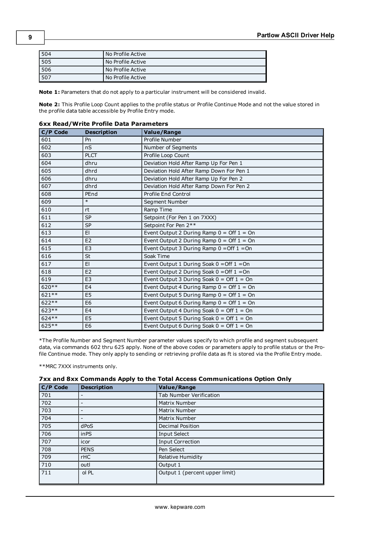| 504 | No Profile Active |
|-----|-------------------|
| 505 | No Profile Active |
| 506 | No Profile Active |
| 507 | No Profile Active |

**Note 1:** Parameters that do not apply to a particular instrument will be considered invalid.

**Note 2:** This Profile Loop Count applies to the profile status or Profile Continue Mode and not the value stored in the profile data table accessible by Profile Entry mode.

| C/P Code | <b>Description</b> | <b>Value/Range</b>                                          |
|----------|--------------------|-------------------------------------------------------------|
| 601      | Pn                 | Profile Number                                              |
| 602      | nS                 | Number of Segments                                          |
| 603      | <b>PLCT</b>        | Profile Loop Count                                          |
| 604      | dhru               | Deviation Hold After Ramp Up For Pen 1                      |
| 605      | dhrd               | Deviation Hold After Ramp Down For Pen 1                    |
| 606      | dhru               | Deviation Hold After Ramp Up For Pen 2                      |
| 607      | dhrd               | Deviation Hold After Ramp Down For Pen 2                    |
| 608      | PEnd               | Profile End Control                                         |
| 609      | $\ast$             | Segment Number                                              |
| 610      | rt                 | Ramp Time                                                   |
| 611      | <b>SP</b>          | Setpoint (For Pen 1 on 7XXX)                                |
| 612      | <b>SP</b>          | Setpoint For Pen 2**                                        |
| 613      | EI                 | Event Output 2 During Ramp $0 =$ Off $1 =$ On               |
| 614      | E2                 | Event Output 2 During Ramp $0 =$ Off $1 =$ On               |
| 615      | E <sub>3</sub>     | Event Output 3 During Ramp $0 =$ Off $1 =$ On               |
| 616      | <b>St</b>          | Soak Time                                                   |
| 617      | E1                 | Event Output 1 During Soak $0 = \text{Off } 1 = \text{On }$ |
| 618      | E2                 | Event Output 2 During Soak $0 =$ Off $1 =$ On               |
| 619      | E <sub>3</sub>     | Event Output 3 During Soak $0 =$ Off $1 =$ On               |
| $620**$  | E <sub>4</sub>     | Event Output 4 During Ramp $0 =$ Off $1 =$ On               |
| 621 **   | E <sub>5</sub>     | Event Output 5 During Ramp $0 =$ Off $1 =$ On               |
| $622**$  | E <sub>6</sub>     | Event Output 6 During Ramp $0 =$ Off $1 =$ On               |
| 623 **   | E <sub>4</sub>     | Event Output 4 During Soak $0 =$ Off $1 =$ On               |
| 624 **   | E <sub>5</sub>     | Event Output 5 During Soak $0 =$ Off $1 =$ On               |
| 625 **   | E <sub>6</sub>     | Event Output 6 During Soak $0 =$ Off $1 =$ On               |

#### **6xx Read/Write Profile Data Parameters**

\*The Profile Number and Segment Number parameter values specify to which profile and segment subsequent data, via commands 602 thru 625 apply. None of the above codes or parameters apply to profile status or the Profile Continue mode. They only apply to sending or retrieving profile data as ft is stored via the Profile Entry mode.

\*\*MRC 7XXX instruments only.

| 7xx and 8xx Commands Apply to the Total Access Communications Option Only |  |
|---------------------------------------------------------------------------|--|
|---------------------------------------------------------------------------|--|

| <b>C/P Code</b> | <b>Description</b> | Value/Range                    |
|-----------------|--------------------|--------------------------------|
| 701             | -                  | Tab Number Verification        |
| 702             |                    | Matrix Number                  |
| 703             |                    | Matrix Number                  |
| 704             |                    | Matrix Number                  |
| 705             | dPoS               | Decimal Position               |
| 706             | in <sub>PS</sub>   | <b>Input Select</b>            |
| 707             | icor               | <b>Input Correction</b>        |
| 708             | <b>PENS</b>        | Pen Select                     |
| 709             | $r$ HC             | Relative Humidity              |
| 710             | outl               | Output 1                       |
| 711             | ol PL              | Output 1 (percent upper limit) |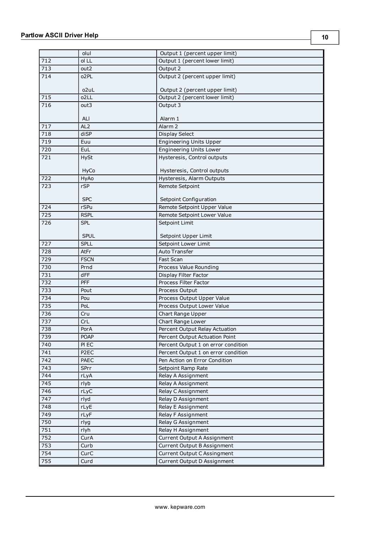714

 $716$ 

721

723

 $\overline{726}$ 

|                  | olul              | Output 1 (percent upper limit)      |  |
|------------------|-------------------|-------------------------------------|--|
| 712              | ol LL             | Output 1 (percent lower limit)      |  |
| 713              | out2              | Output 2                            |  |
| 714              | o <sub>2</sub> PL | Output 2 (percent upper limit)      |  |
|                  | o <sub>2u</sub> L | Output 2 (percent upper limit)      |  |
| $\overline{715}$ | o <sub>2</sub> LL | Output 2 (percent lower limit)      |  |
| 716              | out3              | Output 3                            |  |
|                  | ALI               | Alarm 1                             |  |
| 717              | AL <sub>2</sub>   | Alarm <sub>2</sub>                  |  |
| 718              | diSP              | <b>Display Select</b>               |  |
| 719              | Euu               | <b>Engineering Units Upper</b>      |  |
| 720              | EuL               | Engineering Units Lower             |  |
| 721              | <b>HySt</b>       | Hysteresis, Control outputs         |  |
|                  | HyCo              | Hysteresis, Control outputs         |  |
| 722              | HyAo              | Hysteresis, Alarm Outputs           |  |
| 723              | rSP               | Remote Setpoint                     |  |
|                  | <b>SPC</b>        | Setpoint Configuration              |  |
| 724              | rSPu              | Remote Setpoint Upper Value         |  |
| 725              | <b>RSPL</b>       | Remote Setpoint Lower Value         |  |
| 726              | <b>SPL</b>        | Setpoint Limit                      |  |
|                  | <b>SPUL</b>       | Setpoint Upper Limit                |  |
| 727              | <b>SPLL</b>       | Setpoint Lower Limit                |  |
| 728              | AtFr              | Auto Transfer                       |  |
| 729              | <b>FSCN</b>       | Fast Scan                           |  |
| 730              | Prnd              | Process Value Rounding              |  |
| 731              | dFF               | Display Filter Factor               |  |
| 732              | <b>PFF</b>        | Process Filter Factor               |  |
| 733              | Pout              | Process Output                      |  |
| 734              | Pou               | Process Output Upper Value          |  |
| 735              | PoL               | Process Output Lower Value          |  |
| 736              | Cru               | Chart Range Upper                   |  |
| 737              | CrL               | Chart Range Lower                   |  |
| 738              | PorA              | Percent Output Relay Actuation      |  |
| 739              | <b>POAP</b>       | Percent Output Actuation Point      |  |
| 740              | PI EC             | Percent Output 1 on error condition |  |
| 741              | P <sub>2</sub> EC | Percent Output 1 on error condition |  |
| 742              | PAEC              | Pen Action on Error Condition       |  |
| $\overline{743}$ | SPrr              | Setpoint Ramp Rate                  |  |
| 744              | rLyA              | Relay A Assignment                  |  |
| $\overline{745}$ | rlyb              | Relay A Assignment                  |  |
|                  |                   |                                     |  |

**10**

746 rLyC Relay C Assignment 747 rlyd Relay D Assignment 748 rLyE Relay E Assignment 749 rLyF Relay F Assignment 750 rlyg Relay G Assignment 751 rlyh Relay H Assignment

752 CurA Curant Current Output A Assignment 753 Curb Current Output B Assignment 754 CurC Current Output C Assingment 755 Curd Current Output D Assignment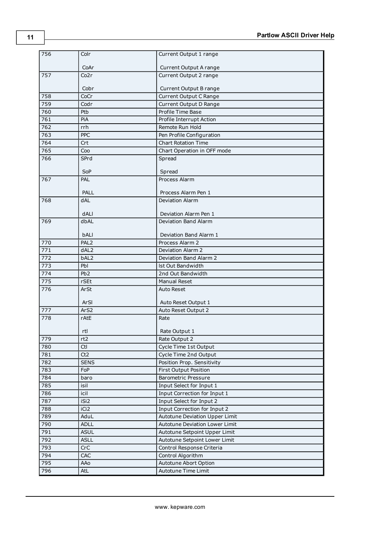| 756 | Colr             | Current Output 1 range         |
|-----|------------------|--------------------------------|
|     | CoAr             | Current Output A range         |
| 757 | Co2r             | Current Output 2 range         |
|     | Cobr             | Current Output B range         |
| 758 | CoCr             | Current Output C Range         |
| 759 | Codr             | Current Output D Range         |
| 760 | Ptb              | Profile Time Base              |
| 761 | PiA              | Profile Interrupt Action       |
| 762 | rrh              | Remote Run Hold                |
| 763 | <b>PPC</b>       | Pen Profile Configuration      |
| 764 | Crt              | <b>Chart Rotation Time</b>     |
| 765 | Coo              | Chart Operation in OFF mode    |
| 766 | SPrd             | Spread                         |
|     |                  |                                |
|     | SoP              | Spread                         |
| 767 | PAL              | Process Alarm                  |
|     | PALL             | Process Alarm Pen 1            |
| 768 | <b>dAL</b>       | <b>Deviation Alarm</b>         |
|     | dALI             | Deviation Alarm Pen 1          |
| 769 | dbAL             | Deviation Band Alarm           |
|     | bALI             | Deviation Band Alarm 1         |
| 770 | PAL <sub>2</sub> | Process Alarm 2                |
| 771 | dAL2             | Deviation Alarm 2              |
| 772 | bAL2             | Deviation Band Alarm 2         |
| 773 | Pbl              | Ist Out Bandwidth              |
| 774 | Pb <sub>2</sub>  | 2nd Out Bandwidth              |
| 775 | rSEt             | <b>Manual Reset</b>            |
| 776 | ArSt             | <b>Auto Reset</b>              |
|     | ArSI             | Auto Reset Output 1            |
| 777 | ArS2             | Auto Reset Output 2            |
| 778 | rAtE             | Rate                           |
|     | rtl              | Rate Output 1                  |
| 779 | rt2              | Rate Output 2                  |
| 780 | Ctl              | Cycle Time 1st Output          |
| 781 | Ct2              | Cycle Time 2nd Output          |
| 782 | <b>SENS</b>      | Position Prop. Sensitivity     |
| 783 | FoP              | <b>First Output Position</b>   |
| 784 | baro             | <b>Barometric Pressure</b>     |
| 785 | isil             | Input Select for Input 1       |
| 786 | icil             | Input Correction for Input 1   |
| 787 | iSi2             | Input Select for Input 2       |
| 788 | iCi2             | Input Correction for Input 2   |
| 789 | AduL             | Autotune Deviation Upper Limit |
| 790 | <b>ADLL</b>      | Autotune Deviation Lower Limit |
| 791 | <b>ASUL</b>      | Autotune Setpoint Upper Limit  |
| 792 | <b>ASLL</b>      | Autotune Setpoint Lower Limit  |
| 793 | <b>CrC</b>       | Control Response Criteria      |
| 794 | CAC              | Control Algorithm              |
| 795 | AAo              | Autotune Abort Option          |
| 796 | <b>AtL</b>       | Autotune Time Limit            |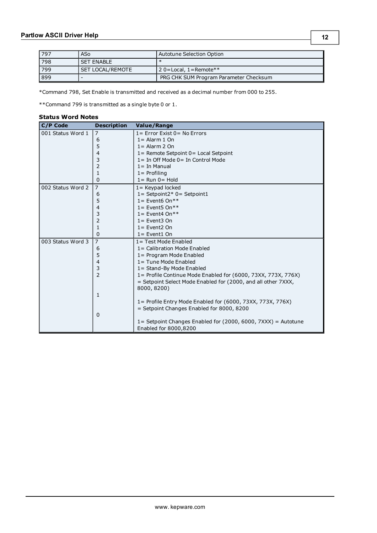| ٧<br>I |  |
|--------|--|
|--------|--|

| 797 | ASo                     | Autotune Selection Option               |
|-----|-------------------------|-----------------------------------------|
| 798 | <b>SET ENABLE</b>       |                                         |
| 799 | <b>SET LOCAL/REMOTE</b> | $\vert$ 2 0 = Local, 1 = Remote $^{**}$ |
| 899 | -                       | PRG CHK SUM Program Parameter Checksum  |

\*Command 798, Set Enable is transmitted and received as a decimal number from 000 to 255.

<span id="page-11-0"></span>\*\*Command 799 is transmitted as a single byte 0 or 1.

#### **Status Word Notes**

| C/P Code          | <b>Description</b> | <b>Value/Range</b>                                            |
|-------------------|--------------------|---------------------------------------------------------------|
| 001 Status Word 1 | $\overline{7}$     | $1 =$ Error Exist $0 =$ No Errors                             |
|                   | 6                  | $1 =$ Alarm 1 On                                              |
|                   | 5                  | $1 =$ Alarm 2 On                                              |
|                   | 4                  | $1 =$ Remote Setpoint $0 =$ Local Setpoint                    |
|                   | 3                  | $1 =$ In Off Mode $0 =$ In Control Mode                       |
|                   | 2                  | $1 =$ In Manual                                               |
|                   | 1                  | $1 =$ Profiling                                               |
|                   | 0                  | $1 =$ Run $0 =$ Hold                                          |
| 002 Status Word 2 | $\overline{7}$     | $1 =$ Keypad locked                                           |
|                   | 6                  | $1 =$ Setpoint2* 0 = Setpoint1                                |
|                   | 5                  | $1 =$ Event6 On**                                             |
|                   | 4                  | $1 =$ Event <sub>5</sub> On**                                 |
|                   | 3                  | $1 =$ Event4 On**                                             |
|                   | 2                  | $1 =$ Event3 On                                               |
|                   | 1                  | $1 =$ Event2 On                                               |
|                   | 0                  | $1 =$ Event1 On                                               |
| 003 Status Word 3 | 7                  | $1 = Test Mode$ Enabled                                       |
|                   | 6                  | 1= Calibration Mode Enabled                                   |
|                   | 5                  | 1 = Program Mode Enabled                                      |
|                   | 4                  | 1 = Tune Mode Enabled                                         |
|                   | 3                  | 1 = Stand-By Mode Enabled                                     |
|                   | $\overline{2}$     | 1= Profile Continue Mode Enabled for (6000, 73XX, 773X, 776X) |
|                   |                    | = Setpoint Select Mode Enabled for (2000, and all other 7XXX, |
|                   |                    | 8000, 8200)                                                   |
|                   | 1                  |                                                               |
|                   |                    | 1= Profile Entry Mode Enabled for (6000, 73XX, 773X, 776X)    |
|                   |                    | = Setpoint Changes Enabled for 8000, 8200                     |
|                   | 0                  |                                                               |
|                   |                    | 1= Setpoint Changes Enabled for (2000, 6000, 7XXX) = Autotune |
|                   |                    | Enabled for 8000,8200                                         |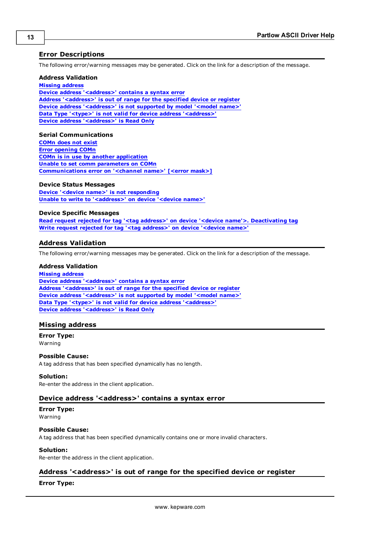# <span id="page-12-0"></span>**Error Descriptions**

The following error/warning messages may be generated. Click on the link for a description of the message.

#### **Address Validation**

**[Missing](#page-12-2) [address](#page-12-2) [Device](#page-12-3) [address](#page-12-3) ['<address>'](#page-12-3) [contains](#page-12-3) [a](#page-12-3) [syntax](#page-12-3) [error](#page-12-3) [Address](#page-12-4) ['<address>'](#page-12-4) [is](#page-12-4) [out](#page-12-4) [of](#page-12-4) [range](#page-12-4) [for](#page-12-4) [the](#page-12-4) [specified](#page-12-4) [device](#page-12-4) [or](#page-12-4) [register](#page-12-4) [Device](#page-13-0) [address](#page-13-0) ['<address>'](#page-13-0) [is](#page-13-0) [not](#page-13-0) [supported](#page-13-0) [by](#page-13-0) [model](#page-13-0) ['<model](#page-13-0) [name>'](#page-13-0) [Data](#page-13-1) [Type](#page-13-1) ['<type>'](#page-13-1) [is](#page-13-1) [not](#page-13-1) [valid](#page-13-1) [for](#page-13-1) [device](#page-13-1) [address](#page-13-1) ['<address>'](#page-13-1) [Device](#page-13-2) [address](#page-13-2) ['<address>'](#page-13-2) [is](#page-13-2) [Read](#page-13-2) [Only](#page-13-2)**

#### **Serial Communications**

**[COMn](#page-13-4) [does](#page-13-4) [not](#page-13-4) [exist](#page-13-4) [Error](#page-14-0) [opening](#page-14-0) [COMn](#page-14-0) [COMn](#page-14-1) [is](#page-14-1) [in](#page-14-1) [use](#page-14-1) [by](#page-14-1) [another](#page-14-1) [application](#page-14-1) [Unable](#page-14-2) [to](#page-14-2) [set](#page-14-2) [comm](#page-14-2) [parameters](#page-14-2) [on](#page-14-2) [COMn](#page-14-2) [Communications](#page-14-3) [error](#page-14-3) [on](#page-14-3) ['<channel](#page-14-3) [name>'](#page-14-3) [\[<error](#page-14-3) [mask>\]](#page-14-3)**

#### **Device Status Messages**

**[Device](#page-15-0) ['<device](#page-15-0) [name>'](#page-15-0) [is](#page-15-0) [not](#page-15-0) [responding](#page-15-0) [Unable](#page-15-1) [to](#page-15-1) [write](#page-15-1) [to](#page-15-1) ['<address>'](#page-15-1) [on](#page-15-1) [device](#page-15-1) ['<device](#page-15-1) [name>'](#page-15-1)**

## **Device Specific Messages**

**[Read](#page-15-3) [request](#page-15-3) [rejected](#page-15-3) [for](#page-15-3) [tag](#page-15-3) ['<tag](#page-15-3) [address>'](#page-15-3) [on](#page-15-3) [device](#page-15-3) ['<device](#page-15-3) [name'>.](#page-15-3) [Deactivating](#page-15-3) [tag](#page-15-3) [Write](#page-15-4) [request](#page-15-4) [rejected](#page-15-4) [for](#page-15-4) [tag](#page-15-4) ['<tag](#page-15-4) [address>'](#page-15-4) [on](#page-15-4) [device](#page-15-4) ['<device](#page-15-4) [name>'](#page-15-4)**

## <span id="page-12-1"></span>**Address Validation**

The following error/warning messages may be generated. Click on the link for a description of the message.

### **Address Validation**

**[Missing](#page-12-2) [address](#page-12-2) [Device](#page-12-3) [address](#page-12-3) ['<address>'](#page-12-3) [contains](#page-12-3) [a](#page-12-3) [syntax](#page-12-3) [error](#page-12-3) [Address](#page-12-4) ['<address>'](#page-12-4) [is](#page-12-4) [out](#page-12-4) [of](#page-12-4) [range](#page-12-4) [for](#page-12-4) [the](#page-12-4) [specified](#page-12-4) [device](#page-12-4) [or](#page-12-4) [register](#page-12-4) [Device](#page-13-0) [address](#page-13-0) ['<address>'](#page-13-0) [is](#page-13-0) [not](#page-13-0) [supported](#page-13-0) [by](#page-13-0) [model](#page-13-0) ['<model](#page-13-0) [name>'](#page-13-0) [Data](#page-13-1) [Type](#page-13-1) ['<type>'](#page-13-1) [is](#page-13-1) [not](#page-13-1) [valid](#page-13-1) [for](#page-13-1) [device](#page-13-1) [address](#page-13-1) ['<address>'](#page-13-1) [Device](#page-13-2) [address](#page-13-2) ['<address>'](#page-13-2) [is](#page-13-2) [Read](#page-13-2) [Only](#page-13-2)** 

## <span id="page-12-2"></span>**Missing address**

# **Error Type:**

Warning

#### **Possible Cause:**

A tag address that has been specified dynamically has no length.

#### **Solution:**

<span id="page-12-3"></span>Re-enter the address in the client application.

#### Device address '<address>' contains a syntax error

#### **Error Type:** Warning

#### **Possible Cause:**

A tag address that has been specified dynamically contains one or more invalid characters.

## **Solution:**

<span id="page-12-4"></span>Re-enter the address in the client application.

# **Address '<address>' is out of range for the specified device or register**

## **Error Type:**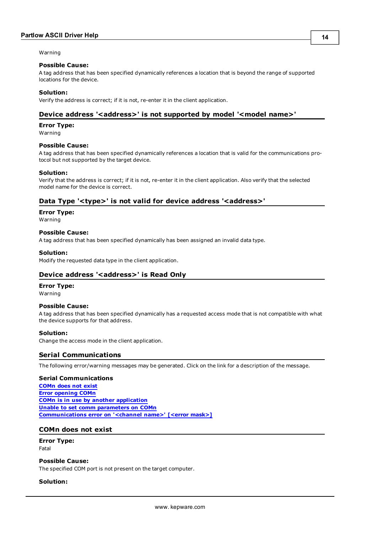#### Warning

#### **Possible Cause:**

A tag address that has been specified dynamically references a location that is beyond the range of supported locations for the device.

#### **Solution:**

<span id="page-13-0"></span>Verify the address is correct; if it is not, re-enter it in the client application.

## Device address '<address>' is not supported by model '<model name>'

#### **Error Type:**

Warning

#### **Possible Cause:**

A tag address that has been specified dynamically references a location that is valid for the communications protocol but not supported by the target device.

#### **Solution:**

Verify that the address is correct; if it is not, re-enter it in the client application. Also verify that the selected model name for the device is correct.

### <span id="page-13-1"></span>Data Type '<type>' is not valid for device address '<address>'

**Error Type:**

Warning

#### **Possible Cause:**

A tag address that has been specified dynamically has been assigned an invalid data type.

#### **Solution:**

<span id="page-13-2"></span>Modify the requested data type in the client application.

#### **Device address '<address>' is Read Only**

#### **Error Type:**

Warning

#### **Possible Cause:**

A tag address that has been specified dynamically has a requested access mode that is not compatible with what the device supports for that address.

#### **Solution:**

<span id="page-13-3"></span>Change the access mode in the client application.

#### **Serial Communications**

The following error/warning messages may be generated. Click on the link for a description of the message.

#### **Serial Communications**

**[COMn](#page-13-4) [does](#page-13-4) [not](#page-13-4) [exist](#page-13-4) [Error](#page-14-0) [opening](#page-14-0) [COMn](#page-14-0) [COMn](#page-14-1) [is](#page-14-1) [in](#page-14-1) [use](#page-14-1) [by](#page-14-1) [another](#page-14-1) [application](#page-14-1) [Unable](#page-14-2) [to](#page-14-2) [set](#page-14-2) [comm](#page-14-2) [parameters](#page-14-2) [on](#page-14-2) [COMn](#page-14-2) [Communications](#page-14-3) [error](#page-14-3) [on](#page-14-3) ['<channel](#page-14-3) [name>'](#page-14-3) [\[<error](#page-14-3) [mask>\]](#page-14-3)**

#### <span id="page-13-4"></span>**COMn does not exist**

**Error Type:** Fatal

#### **Possible Cause:**

The specified COM port is not present on the target computer.

### **Solution:**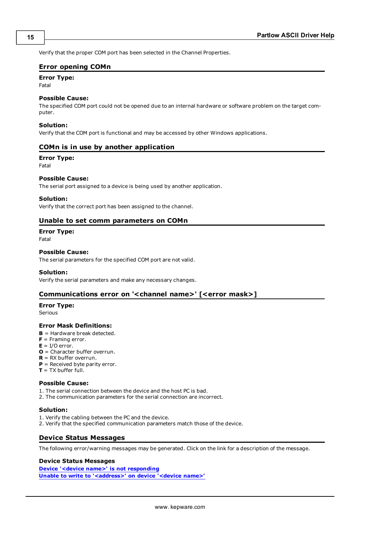<span id="page-14-0"></span>Verify that the proper COM port has been selected in the Channel Properties.

### **Error opening COMn**

# **Error Type:**

Fatal

#### **Possible Cause:**

The specified COM port could not be opened due to an internal hardware or software problem on the target computer.

#### **Solution:**

<span id="page-14-1"></span>Verify that the COM port is functional and may be accessed by other Windows applications.

## **COMn is in use by another application**

#### **Error Type:**

Fatal

### **Possible Cause:**

The serial port assigned to a device is being used by another application.

#### **Solution:**

<span id="page-14-2"></span>Verify that the correct port has been assigned to the channel.

## **Unable to set comm parameters on COMn**

# **Error Type:**

Fatal

### **Possible Cause:**

The serial parameters for the specified COM port are not valid.

## **Solution:**

<span id="page-14-3"></span>Verify the serial parameters and make any necessary changes.

## **Communications error on '<channel name>' [<error mask>]**

#### **Error Type:**

Serious

#### **Error Mask Definitions:**

- <span id="page-14-5"></span>**B** = Hardware break detected.
- **F** = Framing error.
- <span id="page-14-6"></span> $E = I/O$  error.
- **O** = Character buffer overrun.
- <span id="page-14-7"></span>**R** = RX buffer overrun.
- **P** = Received byte parity error.
- **T** = TX buffer full.

#### **Possible Cause:**

- 1. The serial connection between the device and the host PC is bad.
- 2. The communication parameters for the serial connection are incorrect.

#### **Solution:**

- 1. Verify the cabling between the PC and the device.
- <span id="page-14-4"></span>2. Verify that the specified communication parameters match those of the device.

## **Device Status Messages**

The following error/warning messages may be generated. Click on the link for a description of the message.

#### **Device Status Messages**

**[Device](#page-15-0) ['<device](#page-15-0) [name>'](#page-15-0) [is](#page-15-0) [not](#page-15-0) [responding](#page-15-0) [Unable](#page-15-1) [to](#page-15-1) [write](#page-15-1) [to](#page-15-1) ['<address>'](#page-15-1) [on](#page-15-1) [device](#page-15-1) ['<device](#page-15-1) [name>'](#page-15-1)**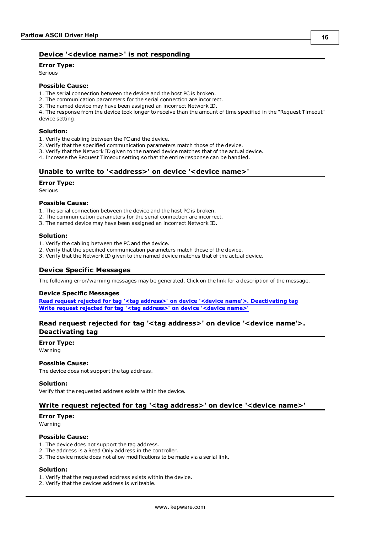# <span id="page-15-0"></span>**Device '<device name>' is not responding**

**Error Type:**

Serious

# **Possible Cause:**

1. The serial connection between the device and the host PC is broken.

- 2. The communication parameters for the serial connection are incorrect.
- 3. The named device may have been assigned an incorrect Network ID.

4. The response from the device took longer to receive than the amount of time specified in the "Request Timeout" device setting.

#### **Solution:**

- 1. Verify the cabling between the PC and the device.
- 2. Verify that the specified communication parameters match those of the device.
- 3. Verify that the Network ID given to the named device matches that of the actual device.
- <span id="page-15-1"></span>4. Increase the Request Timeout setting so that the entire response can be handled.

## Unable to write to '<address>' on device '<device name>'

#### **Error Type:**

Serious

#### **Possible Cause:**

- 1. The serial connection between the device and the host PC is broken.
- 2. The communication parameters for the serial connection are incorrect.
- 3. The named device may have been assigned an incorrect Network ID.

#### **Solution:**

- 1. Verify the cabling between the PC and the device.
- 2. Verify that the specified communication parameters match those of the device.
- <span id="page-15-2"></span>3. Verify that the Network ID given to the named device matches that of the actual device.

## **Device Specific Messages**

The following error/warning messages may be generated. Click on the link for a description of the message.

#### **Device Specific Messages**

**[Read](#page-15-3) [request](#page-15-3) [rejected](#page-15-3) [for](#page-15-3) [tag](#page-15-3) ['<tag](#page-15-3) [address>'](#page-15-3) [on](#page-15-3) [device](#page-15-3) ['<device](#page-15-3) [name'>.](#page-15-3) [Deactivating](#page-15-3) [tag](#page-15-3) [Write](#page-15-4) [request](#page-15-4) [rejected](#page-15-4) [for](#page-15-4) [tag](#page-15-4) ['<tag](#page-15-4) [address>'](#page-15-4) [on](#page-15-4) [device](#page-15-4) ['<device](#page-15-4) [name>'](#page-15-4)**

# <span id="page-15-3"></span>**Read request rejected for tag '<tag address>' on device '<device name'>. Deactivating tag**

#### **Error Type:**

Warning

#### **Possible Cause:**

The device does not support the tag address.

#### **Solution:**

<span id="page-15-4"></span>Verify that the requested address exists within the device.

# **Write request rejected for tag '<tag address>' on device '<device name>'**

#### **Error Type:**

Warning

#### **Possible Cause:**

- 1. The device does not support the tag address.
- 2. The address is a Read Only address in the controller.
- 3. The device mode does not allow modifications to be made via a serial link.

#### **Solution:**

- 1. Verify that the requested address exists within the device.
- 2. Verify that the devices address is writeable.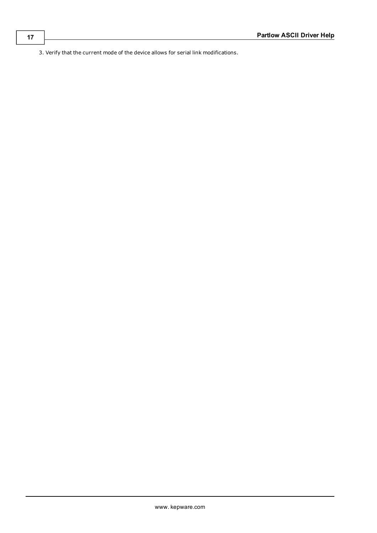3. Verify that the current mode of the device allows for serial link modifications.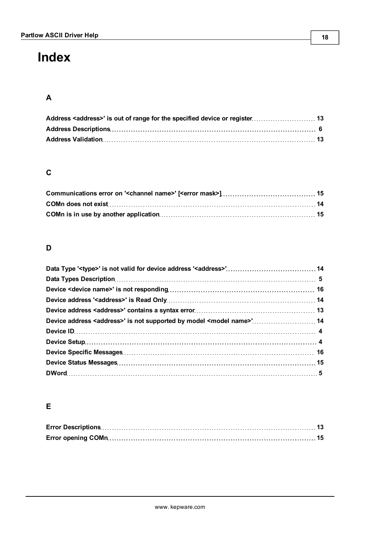# <span id="page-17-0"></span>**Index**

# **A**

# **C**

# **D**

| Device address <address>' is not supported by model <model name="">' 14</model></address> |  |
|-------------------------------------------------------------------------------------------|--|
|                                                                                           |  |
|                                                                                           |  |
|                                                                                           |  |
|                                                                                           |  |
|                                                                                           |  |

# **E**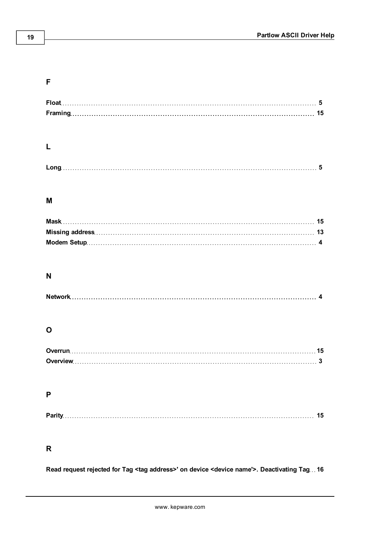# **F**

| Float |  |
|-------|--|
|       |  |

# **L**

# **M**

# **N**

# **O**

# **P**

| Dorit |
|-------|
|-------|

# **R**

**Read request rejected for Tag <tag address>' on device <device name'>. Deactivating Tag [16](#page-15-3)**